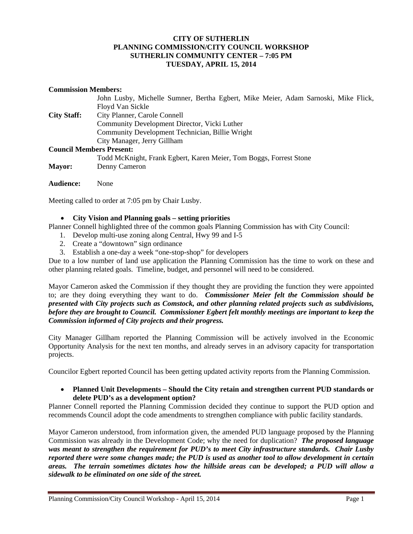## **CITY OF SUTHERLIN PLANNING COMMISSION/CITY COUNCIL WORKSHOP SUTHERLIN COMMUNITY CENTER – 7:05 PM TUESDAY, APRIL 15, 2014**

#### **Commission Members:**

|                                 | John Lusby, Michelle Sumner, Bertha Egbert, Mike Meier, Adam Sarnoski, Mike Flick, |
|---------------------------------|------------------------------------------------------------------------------------|
|                                 | Floyd Van Sickle                                                                   |
| <b>City Staff:</b>              | City Planner, Carole Connell                                                       |
|                                 | Community Development Director, Vicki Luther                                       |
|                                 | Community Development Technician, Billie Wright                                    |
|                                 | City Manager, Jerry Gillham                                                        |
| <b>Council Members Present:</b> |                                                                                    |
|                                 | Todd McKnight, Frank Egbert, Karen Meier, Tom Boggs, Forrest Stone                 |
| <b>Mayor:</b>                   | Denny Cameron                                                                      |
|                                 |                                                                                    |

**Audience:** None

Meeting called to order at 7:05 pm by Chair Lusby.

### **City Vision and Planning goals – setting priorities**

Planner Connell highlighted three of the common goals Planning Commission has with City Council:

- 1. Develop multi-use zoning along Central, Hwy 99 and I-5
- 2. Create a "downtown" sign ordinance
- 3. Establish a one-day a week "one-stop-shop" for developers

Due to a low number of land use application the Planning Commission has the time to work on these and other planning related goals. Timeline, budget, and personnel will need to be considered.

Mayor Cameron asked the Commission if they thought they are providing the function they were appointed to; are they doing everything they want to do. *Commissioner Meier felt the Commission should be presented with City projects such as Comstock, and other planning related projects such as subdivisions, before they are brought to Council. Commissioner Egbert felt monthly meetings are important to keep the Commission informed of City projects and their progress.* 

City Manager Gillham reported the Planning Commission will be actively involved in the Economic Opportunity Analysis for the next ten months, and already serves in an advisory capacity for transportation projects.

Councilor Egbert reported Council has been getting updated activity reports from the Planning Commission.

### **Planned Unit Developments – Should the City retain and strengthen current PUD standards or delete PUD's as a development option?**

Planner Connell reported the Planning Commission decided they continue to support the PUD option and recommends Council adopt the code amendments to strengthen compliance with public facility standards.

Mayor Cameron understood, from information given, the amended PUD language proposed by the Planning Commission was already in the Development Code; why the need for duplication? *The proposed language was meant to strengthen the requirement for PUD's to meet City infrastructure standards. Chair Lusby reported there were some changes made; the PUD is used as another tool to allow development in certain areas. The terrain sometimes dictates how the hillside areas can be developed; a PUD will allow a sidewalk to be eliminated on one side of the street.*